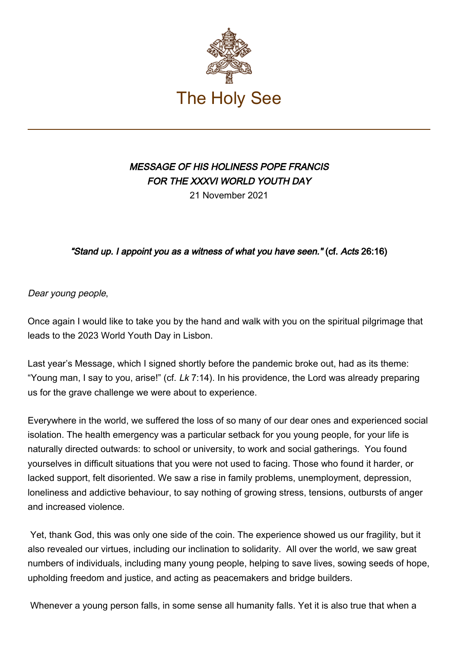

# MESSAGE OF HIS HOLINESS POPE FRANCIS FOR THE XXXVI WORLD YOUTH DAY

21 November 2021

# "Stand up. I appoint you as a witness of what you have seen." (cf. Acts 26:16)

Dear young people,

Once again I would like to take you by the hand and walk with you on the spiritual pilgrimage that leads to the 2023 World Youth Day in Lisbon.

Last year's Message, which I signed shortly before the pandemic broke out, had as its theme: "Young man, I say to you, arise!" (cf.  $Lk$  7:14). In his providence, the Lord was already preparing us for the grave challenge we were about to experience.

Everywhere in the world, we suffered the loss of so many of our dear ones and experienced social isolation. The health emergency was a particular setback for you young people, for your life is naturally directed outwards: to school or university, to work and social gatherings. You found yourselves in difficult situations that you were not used to facing. Those who found it harder, or lacked support, felt disoriented. We saw a rise in family problems, unemployment, depression, loneliness and addictive behaviour, to say nothing of growing stress, tensions, outbursts of anger and increased violence.

 Yet, thank God, this was only one side of the coin. The experience showed us our fragility, but it also revealed our virtues, including our inclination to solidarity. All over the world, we saw great numbers of individuals, including many young people, helping to save lives, sowing seeds of hope, upholding freedom and justice, and acting as peacemakers and bridge builders.

Whenever a young person falls, in some sense all humanity falls. Yet it is also true that when a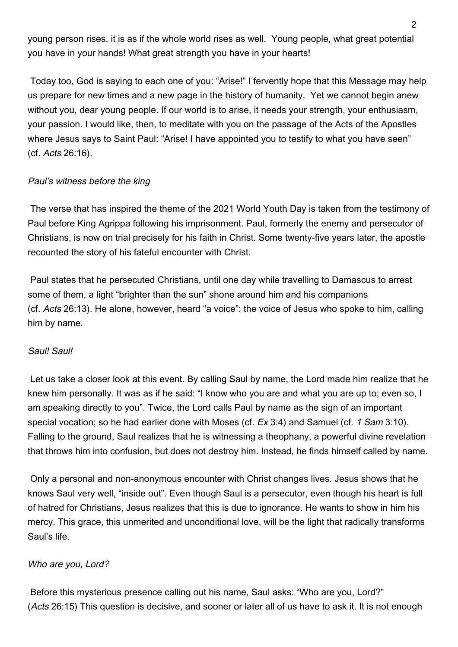young person rises, it is as if the whole world rises as well. Young people, what great potential you have in your hands! What great strength you have in your hearts!

 Today too, God is saying to each one of you: "Arise!" I fervently hope that this Message may help us prepare for new times and a new page in the history of humanity. Yet we cannot begin anew without you, dear young people. If our world is to arise, it needs your strength, your enthusiasm, your passion. I would like, then, to meditate with you on the passage of the Acts of the Apostles where Jesus says to Saint Paul: "Arise! I have appointed you to testify to what you have seen" (cf. Acts 26:16).

# Paul's witness before the king

 The verse that has inspired the theme of the 2021 World Youth Day is taken from the testimony of Paul before King Agrippa following his imprisonment. Paul, formerly the enemy and persecutor of Christians, is now on trial precisely for his faith in Christ. Some twenty-five years later, the apostle recounted the story of his fateful encounter with Christ.

 Paul states that he persecuted Christians, until one day while travelling to Damascus to arrest some of them, a light "brighter than the sun" shone around him and his companions (cf. Acts 26:13). He alone, however, heard "a voice": the voice of Jesus who spoke to him, calling him by name.

# Saul! Saul!

 Let us take a closer look at this event. By calling Saul by name, the Lord made him realize that he knew him personally. It was as if he said: "I know who you are and what you are up to; even so, I am speaking directly to you". Twice, the Lord calls Paul by name as the sign of an important special vocation; so he had earlier done with Moses (cf. Ex 3:4) and Samuel (cf. 1 Sam 3:10). Falling to the ground, Saul realizes that he is witnessing a theophany, a powerful divine revelation that throws him into confusion, but does not destroy him. Instead, he finds himself called by name.

 Only a personal and non-anonymous encounter with Christ changes lives. Jesus shows that he knows Saul very well, "inside out". Even though Saul is a persecutor, even though his heart is full of hatred for Christians, Jesus realizes that this is due to ignorance. He wants to show in him his mercy. This grace, this unmerited and unconditional love, will be the light that radically transforms Saul's life.

# Who are you, Lord?

 Before this mysterious presence calling out his name, Saul asks: "Who are you, Lord?" (Acts 26:15) This question is decisive, and sooner or later all of us have to ask it. It is not enough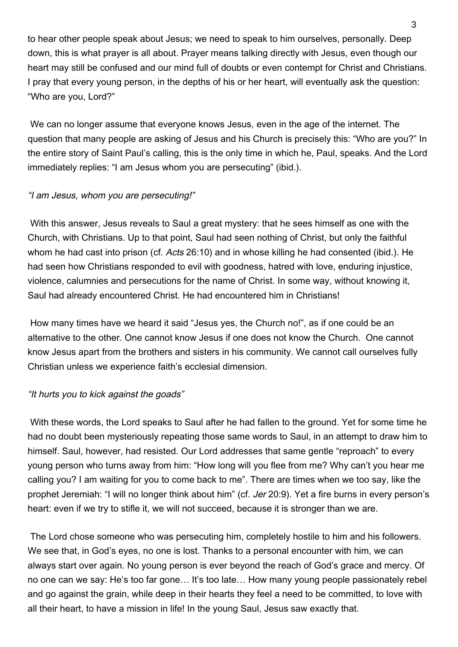to hear other people speak about Jesus; we need to speak to him ourselves, personally. Deep down, this is what prayer is all about. Prayer means talking directly with Jesus, even though our heart may still be confused and our mind full of doubts or even contempt for Christ and Christians. I pray that every young person, in the depths of his or her heart, will eventually ask the question: "Who are you, Lord?"

We can no longer assume that everyone knows Jesus, even in the age of the internet. The question that many people are asking of Jesus and his Church is precisely this: "Who are you?" In the entire story of Saint Paul's calling, this is the only time in which he, Paul, speaks. And the Lord immediately replies: "I am Jesus whom you are persecuting" (ibid.).

## "I am Jesus, whom you are persecuting!"

 With this answer, Jesus reveals to Saul a great mystery: that he sees himself as one with the Church, with Christians. Up to that point, Saul had seen nothing of Christ, but only the faithful whom he had cast into prison (cf. Acts 26:10) and in whose killing he had consented (ibid.). He had seen how Christians responded to evil with goodness, hatred with love, enduring injustice, violence, calumnies and persecutions for the name of Christ. In some way, without knowing it, Saul had already encountered Christ. He had encountered him in Christians!

 How many times have we heard it said "Jesus yes, the Church no!", as if one could be an alternative to the other. One cannot know Jesus if one does not know the Church. One cannot know Jesus apart from the brothers and sisters in his community. We cannot call ourselves fully Christian unless we experience faith's ecclesial dimension.

# "It hurts you to kick against the goads"

 With these words, the Lord speaks to Saul after he had fallen to the ground. Yet for some time he had no doubt been mysteriously repeating those same words to Saul, in an attempt to draw him to himself. Saul, however, had resisted. Our Lord addresses that same gentle "reproach" to every young person who turns away from him: "How long will you flee from me? Why can't you hear me calling you? I am waiting for you to come back to me". There are times when we too say, like the prophet Jeremiah: "I will no longer think about him" (cf. Jer 20:9). Yet a fire burns in every person's heart: even if we try to stifle it, we will not succeed, because it is stronger than we are.

 The Lord chose someone who was persecuting him, completely hostile to him and his followers. We see that, in God's eyes, no one is lost. Thanks to a personal encounter with him, we can always start over again. No young person is ever beyond the reach of God's grace and mercy. Of no one can we say: He's too far gone… It's too late… How many young people passionately rebel and go against the grain, while deep in their hearts they feel a need to be committed, to love with all their heart, to have a mission in life! In the young Saul, Jesus saw exactly that.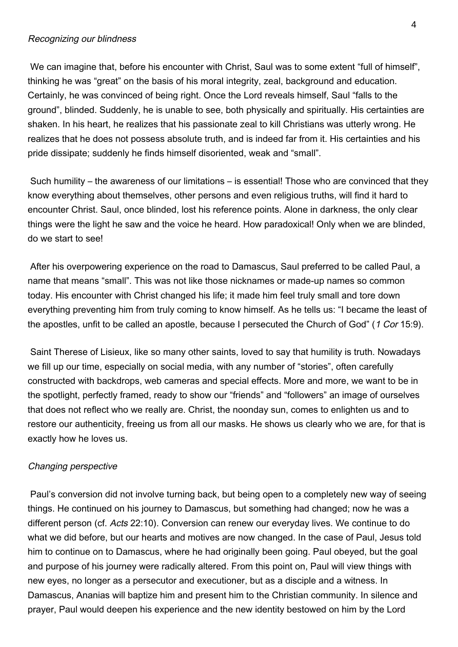#### Recognizing our blindness

 We can imagine that, before his encounter with Christ, Saul was to some extent "full of himself", thinking he was "great" on the basis of his moral integrity, zeal, background and education. Certainly, he was convinced of being right. Once the Lord reveals himself, Saul "falls to the ground", blinded. Suddenly, he is unable to see, both physically and spiritually. His certainties are shaken. In his heart, he realizes that his passionate zeal to kill Christians was utterly wrong. He realizes that he does not possess absolute truth, and is indeed far from it. His certainties and his pride dissipate; suddenly he finds himself disoriented, weak and "small".

 Such humility – the awareness of our limitations – is essential! Those who are convinced that they know everything about themselves, other persons and even religious truths, will find it hard to encounter Christ. Saul, once blinded, lost his reference points. Alone in darkness, the only clear things were the light he saw and the voice he heard. How paradoxical! Only when we are blinded, do we start to see!

 After his overpowering experience on the road to Damascus, Saul preferred to be called Paul, a name that means "small". This was not like those nicknames or made-up names so common today. His encounter with Christ changed his life; it made him feel truly small and tore down everything preventing him from truly coming to know himself. As he tells us: "I became the least of the apostles, unfit to be called an apostle, because I persecuted the Church of God" (1 Cor 15:9).

 Saint Therese of Lisieux, like so many other saints, loved to say that humility is truth. Nowadays we fill up our time, especially on social media, with any number of "stories", often carefully constructed with backdrops, web cameras and special effects. More and more, we want to be in the spotlight, perfectly framed, ready to show our "friends" and "followers" an image of ourselves that does not reflect who we really are. Christ, the noonday sun, comes to enlighten us and to restore our authenticity, freeing us from all our masks. He shows us clearly who we are, for that is exactly how he loves us.

#### Changing perspective

 Paul's conversion did not involve turning back, but being open to a completely new way of seeing things. He continued on his journey to Damascus, but something had changed; now he was a different person (cf. Acts 22:10). Conversion can renew our everyday lives. We continue to do what we did before, but our hearts and motives are now changed. In the case of Paul, Jesus told him to continue on to Damascus, where he had originally been going. Paul obeyed, but the goal and purpose of his journey were radically altered. From this point on, Paul will view things with new eyes, no longer as a persecutor and executioner, but as a disciple and a witness. In Damascus, Ananias will baptize him and present him to the Christian community. In silence and prayer, Paul would deepen his experience and the new identity bestowed on him by the Lord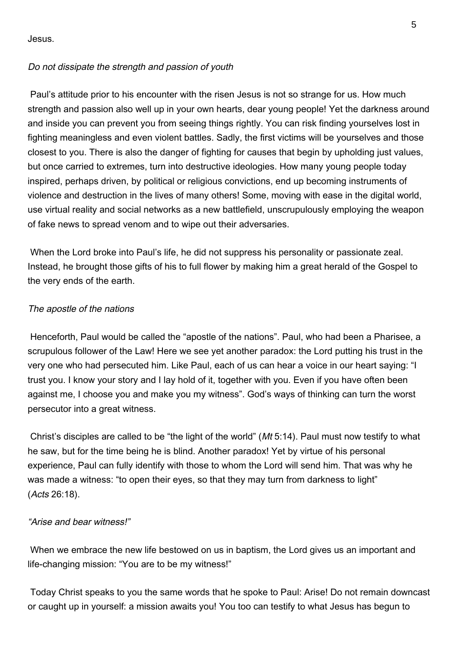Jesus.

# Do not dissipate the strength and passion of youth

 Paul's attitude prior to his encounter with the risen Jesus is not so strange for us. How much strength and passion also well up in your own hearts, dear young people! Yet the darkness around and inside you can prevent you from seeing things rightly. You can risk finding yourselves lost in fighting meaningless and even violent battles. Sadly, the first victims will be yourselves and those closest to you. There is also the danger of fighting for causes that begin by upholding just values, but once carried to extremes, turn into destructive ideologies. How many young people today inspired, perhaps driven, by political or religious convictions, end up becoming instruments of violence and destruction in the lives of many others! Some, moving with ease in the digital world, use virtual reality and social networks as a new battlefield, unscrupulously employing the weapon of fake news to spread venom and to wipe out their adversaries.

 When the Lord broke into Paul's life, he did not suppress his personality or passionate zeal. Instead, he brought those gifts of his to full flower by making him a great herald of the Gospel to the very ends of the earth.

## The apostle of the nations

 Henceforth, Paul would be called the "apostle of the nations". Paul, who had been a Pharisee, a scrupulous follower of the Law! Here we see yet another paradox: the Lord putting his trust in the very one who had persecuted him. Like Paul, each of us can hear a voice in our heart saying: "I trust you. I know your story and I lay hold of it, together with you. Even if you have often been against me, I choose you and make you my witness". God's ways of thinking can turn the worst persecutor into a great witness.

 Christ's disciples are called to be "the light of the world" (Mt 5:14). Paul must now testify to what he saw, but for the time being he is blind. Another paradox! Yet by virtue of his personal experience, Paul can fully identify with those to whom the Lord will send him. That was why he was made a witness: "to open their eyes, so that they may turn from darkness to light" (Acts 26:18).

### "Arise and bear witness!"

 When we embrace the new life bestowed on us in baptism, the Lord gives us an important and life-changing mission: "You are to be my witness!"

 Today Christ speaks to you the same words that he spoke to Paul: Arise! Do not remain downcast or caught up in yourself: a mission awaits you! You too can testify to what Jesus has begun to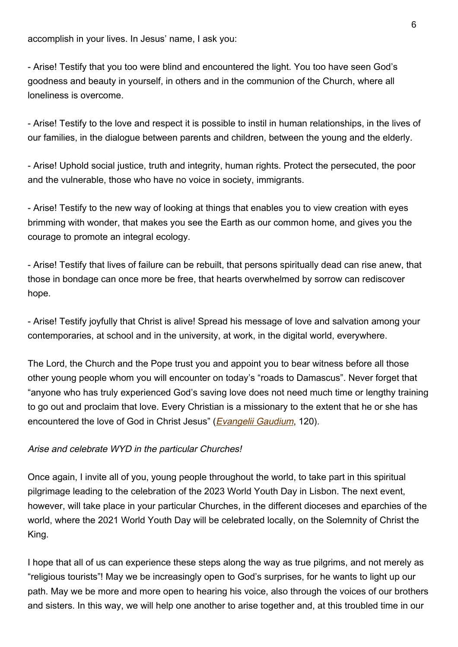accomplish in your lives. In Jesus' name, I ask you:

- Arise! Testify that you too were blind and encountered the light. You too have seen God's goodness and beauty in yourself, in others and in the communion of the Church, where all loneliness is overcome.

- Arise! Testify to the love and respect it is possible to instil in human relationships, in the lives of our families, in the dialogue between parents and children, between the young and the elderly.

- Arise! Uphold social justice, truth and integrity, human rights. Protect the persecuted, the poor and the vulnerable, those who have no voice in society, immigrants.

- Arise! Testify to the new way of looking at things that enables you to view creation with eyes brimming with wonder, that makes you see the Earth as our common home, and gives you the courage to promote an integral ecology.

- Arise! Testify that lives of failure can be rebuilt, that persons spiritually dead can rise anew, that those in bondage can once more be free, that hearts overwhelmed by sorrow can rediscover hope.

- Arise! Testify joyfully that Christ is alive! Spread his message of love and salvation among your contemporaries, at school and in the university, at work, in the digital world, everywhere.

The Lord, the Church and the Pope trust you and appoint you to bear witness before all those other young people whom you will encounter on today's "roads to Damascus". Never forget that "anyone who has truly experienced God's saving love does not need much time or lengthy training to go out and proclaim that love. Every Christian is a missionary to the extent that he or she has encountered the love of God in Christ Jesus" (*[Evangelii Gaudium](https://www.vatican.va/content/francesco/en/apost_exhortations/documents/papa-francesco_esortazione-ap_20131124_evangelii-gaudium.html#We_are_all_missionary_disciples)*, 120).

# Arise and celebrate WYD in the particular Churches!

Once again, I invite all of you, young people throughout the world, to take part in this spiritual pilgrimage leading to the celebration of the 2023 World Youth Day in Lisbon. The next event, however, will take place in your particular Churches, in the different dioceses and eparchies of the world, where the 2021 World Youth Day will be celebrated locally, on the Solemnity of Christ the King.

I hope that all of us can experience these steps along the way as true pilgrims, and not merely as "religious tourists"! May we be increasingly open to God's surprises, for he wants to light up our path. May we be more and more open to hearing his voice, also through the voices of our brothers and sisters. In this way, we will help one another to arise together and, at this troubled time in our